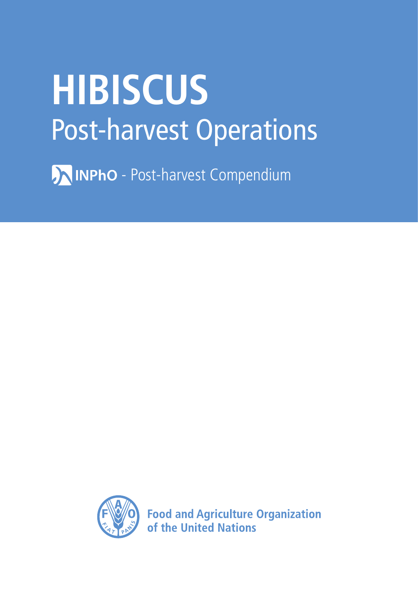# **HIBISCUS** Post-harvest Operations

**AINPhO** - Post-harvest Compendium



**Food and Agriculture Organization** of the United Nations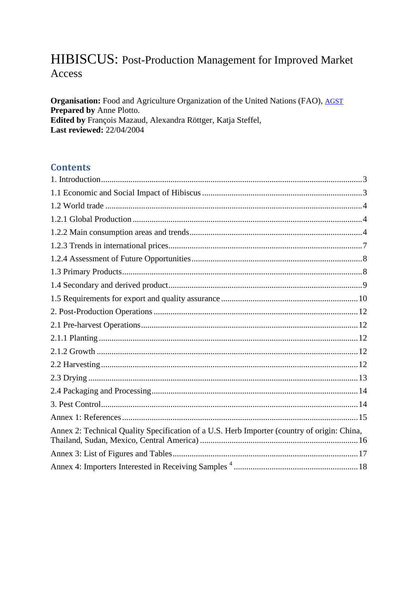# HIBISCUS: Post-Production Management for Improved Market Access

Organisation: Food and Agriculture Organization of the United Nations (FAO), AGST Prepared by Anne Plotto. Edited by François Mazaud, Alexandra Röttger, Katja Steffel, Last reviewed: 22/04/2004

## **Contents**

| Annex 2: Technical Quality Specification of a U.S. Herb Importer (country of origin: China, |  |
|---------------------------------------------------------------------------------------------|--|
|                                                                                             |  |
|                                                                                             |  |
|                                                                                             |  |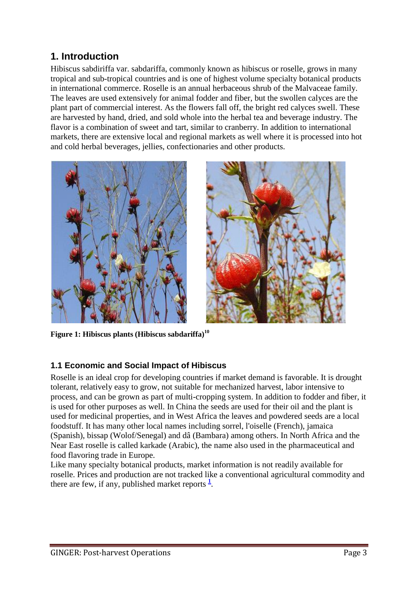# **1. Introduction**

Hibiscus sabdiriffa var. sabdariffa, commonly known as hibiscus or roselle, grows in many tropical and sub-tropical countries and is one of highest volume specialty botanical products in international commerce. Roselle is an annual herbaceous shrub of the Malvaceae family. The leaves are used extensively for animal fodder and fiber, but the swollen calyces are the plant part of commercial interest. As the flowers fall off, the bright red calyces swell. These are harvested by hand, dried, and sold whole into the herbal tea and beverage industry. The flavor is a combination of sweet and tart, similar to cranberry. In addition to international markets, there are extensive local and regional markets as well where it is processed into hot and cold herbal beverages, jellies, confectionaries and other products.





**Figure 1: Hibiscus plants (Hibiscus sabdariffa)<sup>10</sup>**

## <span id="page-3-0"></span>**1.1 Economic and Social Impact of Hibiscus**

Roselle is an ideal crop for developing countries if market demand is favorable. It is drought tolerant, relatively easy to grow, not suitable for mechanized harvest, labor intensive to process, and can be grown as part of multi-cropping system. In addition to fodder and fiber, it is used for other purposes as well. In China the seeds are used for their oil and the plant is used for medicinal properties, and in West Africa the leaves and powdered seeds are a local foodstuff. It has many other local names including sorrel, l'oiselle (French), jamaica (Spanish), bissap (Wolof/Senegal) and dâ (Bambara) among others. In North Africa and the Near East roselle is called karkade (Arabic), the name also used in the pharmaceutical and food flavoring trade in Europe.

Like many specialty botanical products, market information is not readily available for roselle. Prices and production are not tracked like a conventional agricultural commodity and thereare few, if any, published market reports  $\frac{1}{1}$ .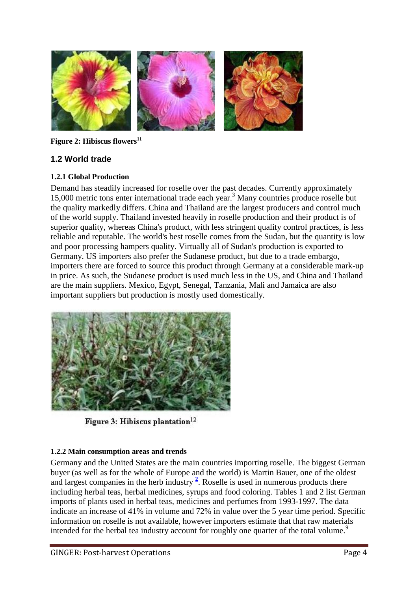

**Figure 2: Hibiscus flowers<sup>11</sup>**

## <span id="page-4-0"></span>**1.2 World trade**

#### <span id="page-4-1"></span>**1.2.1 Global Production**

Demand has steadily increased for roselle over the past decades. Currently approximately 15,000 metric tons enter international trade each year.<sup>3</sup> Many countries produce roselle but the quality markedly differs. China and Thailand are the largest producers and control much of the world supply. Thailand invested heavily in roselle production and their product is of superior quality, whereas China's product, with less stringent quality control practices, is less reliable and reputable. The world's best roselle comes from the Sudan, but the quantity is low and poor processing hampers quality. Virtually all of Sudan's production is exported to Germany. US importers also prefer the Sudanese product, but due to a trade embargo, importers there are forced to source this product through Germany at a considerable mark-up in price. As such, the Sudanese product is used much less in the US, and China and Thailand are the main suppliers. Mexico, Egypt, Senegal, Tanzania, Mali and Jamaica are also important suppliers but production is mostly used domestically.



Figure 3: Hibiscus plantation<sup>12</sup>

#### <span id="page-4-2"></span>**1.2.2 Main consumption areas and trends**

Germany and the United States are the main countries importing roselle. The biggest German buyer (as well as for the whole of Europe and the world) is Martin Bauer, one of the oldest and largest companies in the herb industry  $\frac{2}{3}$ [.](http://www.fao.org/inpho/content/compend/text/ch28/ch28.htm#note2) Roselle is used in numerous products there including herbal teas, herbal medicines, syrups and food coloring. Tables 1 and 2 list German imports of plants used in herbal teas, medicines and perfumes from 1993-1997. The data indicate an increase of 41% in volume and 72% in value over the 5 year time period. Specific information on roselle is not available, however importers estimate that that raw materials intended for the herbal tea industry account for roughly one quarter of the total volume.<sup>9</sup>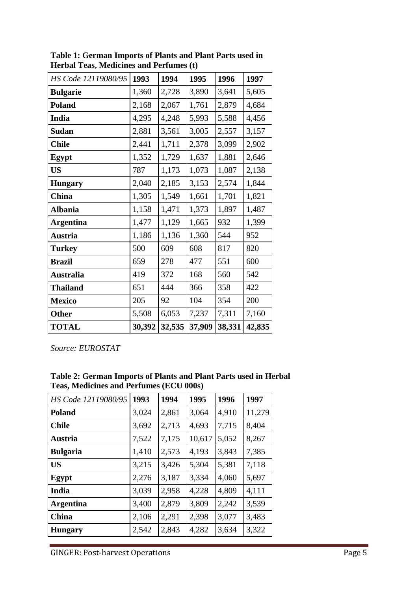| HS Code 12119080/95 | 1993   | 1994   | 1995   | 1996   | 1997   |
|---------------------|--------|--------|--------|--------|--------|
| <b>Bulgarie</b>     | 1,360  | 2,728  | 3,890  | 3,641  | 5,605  |
| <b>Poland</b>       | 2,168  | 2,067  | 1,761  | 2,879  | 4,684  |
| India               | 4,295  | 4,248  | 5,993  | 5,588  | 4,456  |
| Sudan               | 2,881  | 3,561  | 3,005  | 2,557  | 3,157  |
| <b>Chile</b>        | 2,441  | 1,711  | 2,378  | 3,099  | 2,902  |
| Egypt               | 1,352  | 1,729  | 1,637  | 1,881  | 2,646  |
| <b>US</b>           | 787    | 1,173  | 1,073  | 1,087  | 2,138  |
| <b>Hungary</b>      | 2,040  | 2,185  | 3,153  | 2,574  | 1,844  |
| China               | 1,305  | 1,549  | 1,661  | 1,701  | 1,821  |
| <b>Albania</b>      | 1,158  | 1,471  | 1,373  | 1,897  | 1,487  |
| <b>Argentina</b>    | 1,477  | 1,129  | 1,665  | 932    | 1,399  |
| <b>Austria</b>      | 1,186  | 1,136  | 1,360  | 544    | 952    |
| <b>Turkey</b>       | 500    | 609    | 608    | 817    | 820    |
| <b>Brazil</b>       | 659    | 278    | 477    | 551    | 600    |
| <b>Australia</b>    | 419    | 372    | 168    | 560    | 542    |
| <b>Thailand</b>     | 651    | 444    | 366    | 358    | 422    |
| <b>Mexico</b>       | 205    | 92     | 104    | 354    | 200    |
| <b>Other</b>        | 5,508  | 6,053  | 7,237  | 7,311  | 7,160  |
| <b>TOTAL</b>        | 30,392 | 32,535 | 37,909 | 38,331 | 42,835 |

**Table 1: German Imports of Plants and Plant Parts used in Herbal Teas, Medicines and Perfumes (t)**

*Source: EUROSTAT*

| Table 2: German Imports of Plants and Plant Parts used in Herbal |
|------------------------------------------------------------------|
| Teas, Medicines and Perfumes (ECU 000s)                          |

| HS Code 12119080/95 | 1993  | 1994  | 1995   | 1996  | 1997   |
|---------------------|-------|-------|--------|-------|--------|
| <b>Poland</b>       | 3,024 | 2,861 | 3,064  | 4,910 | 11,279 |
| <b>Chile</b>        | 3,692 | 2,713 | 4,693  | 7,715 | 8,404  |
| Austria             | 7,522 | 7,175 | 10,617 | 5,052 | 8,267  |
| <b>Bulgaria</b>     | 1,410 | 2,573 | 4,193  | 3,843 | 7,385  |
| <b>US</b>           | 3,215 | 3,426 | 5,304  | 5,381 | 7,118  |
| Egypt               | 2,276 | 3,187 | 3,334  | 4,060 | 5,697  |
| India               | 3,039 | 2,958 | 4,228  | 4,809 | 4,111  |
| <b>Argentina</b>    | 3,400 | 2,879 | 3,809  | 2,242 | 3,539  |
| China               | 2,106 | 2,291 | 2,398  | 3,077 | 3,483  |
| <b>Hungary</b>      | 2,542 | 2,843 | 4,282  | 3,634 | 3,322  |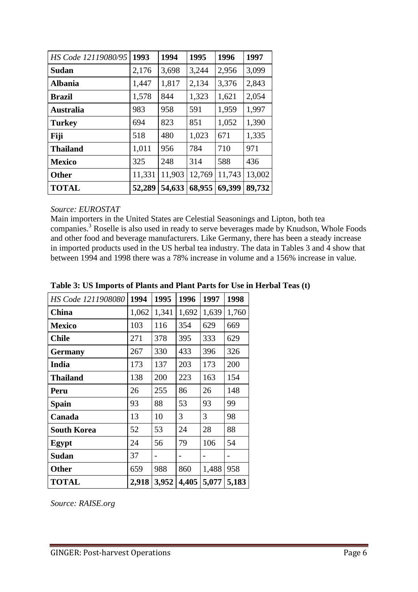| HS Code 12119080/95 | 1993   | 1994   | 1995   | 1996   | 1997   |
|---------------------|--------|--------|--------|--------|--------|
| <b>Sudan</b>        | 2,176  | 3,698  | 3,244  | 2,956  | 3,099  |
| <b>Albania</b>      | 1,447  | 1,817  | 2,134  | 3,376  | 2,843  |
| <b>Brazil</b>       | 1,578  | 844    | 1,323  | 1,621  | 2,054  |
| <b>Australia</b>    | 983    | 958    | 591    | 1,959  | 1,997  |
| <b>Turkey</b>       | 694    | 823    | 851    | 1,052  | 1,390  |
| Fiji                | 518    | 480    | 1,023  | 671    | 1,335  |
| <b>Thailand</b>     | 1,011  | 956    | 784    | 710    | 971    |
| <b>Mexico</b>       | 325    | 248    | 314    | 588    | 436    |
| <b>Other</b>        | 11,331 | 11,903 | 12,769 | 11,743 | 13,002 |
| <b>TOTAL</b>        | 52,289 | 54,633 | 68,955 | 69,399 | 89,732 |

#### *Source: EUROSTAT*

Main importers in the United States are Celestial Seasonings and Lipton, both tea companies.<sup>3</sup> Roselle is also used in ready to serve beverages made by Knudson, Whole Foods and other food and beverage manufacturers. Like Germany, there has been a steady increase in imported products used in the US herbal tea industry. The data in Tables 3 and 4 show that between 1994 and 1998 there was a 78% increase in volume and a 156% increase in value.

| HS Code 1211908080 | 1994  | 1995  | 1996  | 1997  | 1998  |
|--------------------|-------|-------|-------|-------|-------|
| <b>China</b>       | 1,062 | 1,341 | 1,692 | 1,639 | 1,760 |
| <b>Mexico</b>      | 103   | 116   | 354   | 629   | 669   |
| <b>Chile</b>       | 271   | 378   | 395   | 333   | 629   |
| <b>Germany</b>     | 267   | 330   | 433   | 396   | 326   |
| India              | 173   | 137   | 203   | 173   | 200   |
| <b>Thailand</b>    | 138   | 200   | 223   | 163   | 154   |
| Peru               | 26    | 255   | 86    | 26    | 148   |
| <b>Spain</b>       | 93    | 88    | 53    | 93    | 99    |
| Canada             | 13    | 10    | 3     | 3     | 98    |
| <b>South Korea</b> | 52    | 53    | 24    | 28    | 88    |
| <b>Egypt</b>       | 24    | 56    | 79    | 106   | 54    |
| Sudan              | 37    |       |       |       |       |
| <b>Other</b>       | 659   | 988   | 860   | 1,488 | 958   |
| <b>TOTAL</b>       | 2,918 | 3,952 | 4,405 | 5,077 | 5,183 |

### **Table 3: US Imports of Plants and Plant Parts for Use in Herbal Teas (t)**

*Source: RAISE.org*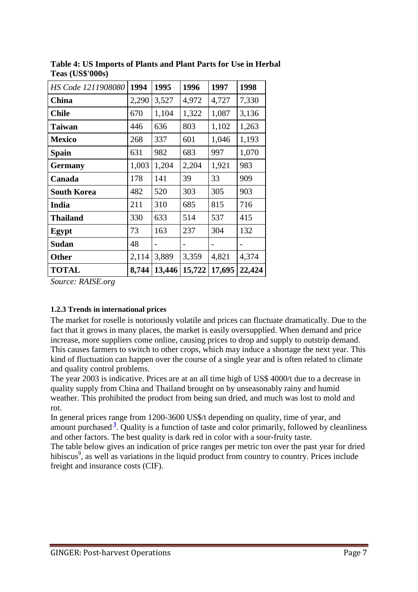| HS Code 1211908080 | 1994  | 1995   | 1996   | 1997   | 1998   |
|--------------------|-------|--------|--------|--------|--------|
| China              | 2,290 | 3,527  | 4,972  | 4,727  | 7,330  |
| <b>Chile</b>       | 670   | 1,104  | 1,322  | 1,087  | 3,136  |
| <b>Taiwan</b>      | 446   | 636    | 803    | 1,102  | 1,263  |
| <b>Mexico</b>      | 268   | 337    | 601    | 1,046  | 1,193  |
| Spain              | 631   | 982    | 683    | 997    | 1,070  |
| <b>Germany</b>     | 1,003 | 1,204  | 2,204  | 1,921  | 983    |
| Canada             | 178   | 141    | 39     | 33     | 909    |
| <b>South Korea</b> | 482   | 520    | 303    | 305    | 903    |
| India              | 211   | 310    | 685    | 815    | 716    |
| <b>Thailand</b>    | 330   | 633    | 514    | 537    | 415    |
| Egypt              | 73    | 163    | 237    | 304    | 132    |
| Sudan              | 48    |        |        |        |        |
| <b>Other</b>       | 2,114 | 3,889  | 3,359  | 4,821  | 4,374  |
| <b>TOTAL</b>       | 8,744 | 13,446 | 15,722 | 17,695 | 22,424 |

**Table 4: US Imports of Plants and Plant Parts for Use in Herbal Teas (US\$'000s)** 

*Source: RAISE.org* 

#### <span id="page-7-0"></span>**1.2.3 Trends in international prices**

The market for roselle is notoriously volatile and prices can fluctuate dramatically. Due to the fact that it grows in many places, the market is easily oversupplied. When demand and price increase, more suppliers come online, causing prices to drop and supply to outstrip demand. This causes farmers to switch to other crops, which may induce a shortage the next year. This kind of fluctuation can happen over the course of a single year and is often related to climate and quality control problems.

The year 2003 is indicative. Prices are at an all time high of US\$ 4000/t due to a decrease in quality supply from China and Thailand brought on by unseasonably rainy and humid weather. This prohibited the product from being sun dried, and much was lost to mold and rot.

In general prices range from 1200-3600 US\$/t depending on quality, time of year, and amount purchased **<sup>3</sup>** [.](http://www.fao.org/inpho/content/compend/text/ch28/ch28.htm#note3) Quality is a function of taste and color primarily, followed by cleanliness and other factors. The best quality is dark red in color with a sour-fruity taste.

The table below gives an indication of price ranges per metric ton over the past year for dried hibiscus<sup>9</sup>, as well as variations in the liquid product from country to country. Prices include freight and insurance costs (CIF).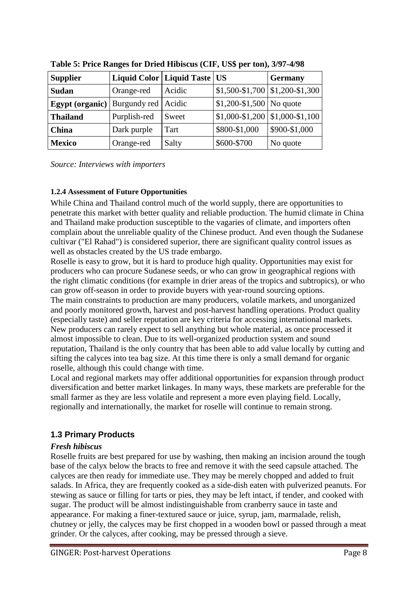| <b>Supplier</b>              | Liquid Color   Liquid Taste   US |        |                                                 | <b>Germany</b> |
|------------------------------|----------------------------------|--------|-------------------------------------------------|----------------|
| <b>Sudan</b>                 | Orange-red                       | Acidic | $\vert$ \$1,500-\$1,700 $\vert$ \$1,200-\$1,300 |                |
| Egypt (organic) Burgundy red |                                  | Acidic | $\vert$ \$1,200-\$1,500 No quote                |                |
| <b>Thailand</b>              | Purplish-red                     | Sweet  | $$1,000-S1,200 \mid $1,000-S1,100$              |                |
| <b>China</b>                 | Dark purple                      | Tart   | \$800-\$1,000                                   | \$900-\$1,000  |
| <b>Mexico</b>                | Orange-red                       | Salty  | \$600-\$700                                     | No quote       |

**Table 5: Price Ranges for Dried Hibiscus (CIF, US\$ per ton), 3/97-4/98**

*Source: Interviews with importers*

#### <span id="page-8-0"></span>**1.2.4 Assessment of Future Opportunities**

While China and Thailand control much of the world supply, there are opportunities to penetrate this market with better quality and reliable production. The humid climate in China and Thailand make production susceptible to the vagaries of climate, and importers often complain about the unreliable quality of the Chinese product. And even though the Sudanese cultivar ("El Rahad") is considered superior, there are significant quality control issues as well as obstacles created by the US trade embargo.

Roselle is easy to grow, but it is hard to produce high quality. Opportunities may exist for producers who can procure Sudanese seeds, or who can grow in geographical regions with the right climatic conditions (for example in drier areas of the tropics and subtropics), or who can grow off-season in order to provide buyers with year-round sourcing options. The main constraints to production are many producers, volatile markets, and unorganized and poorly monitored growth, harvest and post-harvest handling operations. Product quality (especially taste) and seller reputation are key criteria for accessing international markets. New producers can rarely expect to sell anything but whole material, as once processed it almost impossible to clean. Due to its well-organized production system and sound reputation, Thailand is the only country that has been able to add value locally by cutting and sifting the calyces into tea bag size. At this time there is only a small demand for organic roselle, although this could change with time.

Local and regional markets may offer additional opportunities for expansion through product diversification and better market linkages. In many ways, these markets are preferable for the small farmer as they are less volatile and represent a more even playing field. Locally, regionally and internationally, the market for roselle will continue to remain strong.

## <span id="page-8-1"></span>**1.3 Primary Products**

## *Fresh hibiscus*

Roselle fruits are best prepared for use by washing, then making an incision around the tough base of the calyx below the bracts to free and remove it with the seed capsule attached. The calyces are then ready for immediate use. They may be merely chopped and added to fruit salads. In Africa, they are frequently cooked as a side-dish eaten with pulverized peanuts. For stewing as sauce or filling for tarts or pies, they may be left intact, if tender, and cooked with sugar. The product will be almost indistinguishable from cranberry sauce in taste and appearance. For making a finer-textured sauce or juice, syrup, jam, marmalade, relish, chutney or jelly, the calyces may be first chopped in a wooden bowl or passed through a meat grinder. Or the calyces, after cooking, may be pressed through a sieve.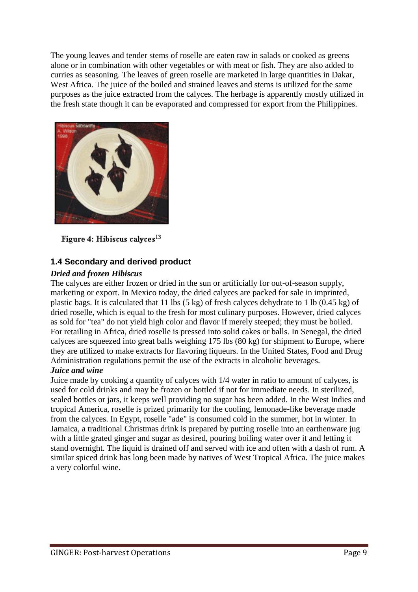The young leaves and tender stems of roselle are eaten raw in salads or cooked as greens alone or in combination with other vegetables or with meat or fish. They are also added to curries as seasoning. The leaves of green roselle are marketed in large quantities in Dakar, West Africa. The juice of the boiled and strained leaves and stems is utilized for the same purposes as the juice extracted from the calyces. The herbage is apparently mostly utilized in the fresh state though it can be evaporated and compressed for export from the Philippines.



Figure 4: Hibiscus calvees<sup>13</sup>

## <span id="page-9-0"></span>**1.4 Secondary and derived product**

#### *Dried and frozen Hibiscus*

The calyces are either frozen or dried in the sun or artificially for out-of-season supply, marketing or export. In Mexico today, the dried calyces are packed for sale in imprinted, plastic bags. It is calculated that 11 lbs (5 kg) of fresh calyces dehydrate to 1 lb (0.45 kg) of dried roselle, which is equal to the fresh for most culinary purposes. However, dried calyces as sold for "tea" do not yield high color and flavor if merely steeped; they must be boiled. For retailing in Africa, dried roselle is pressed into solid cakes or balls. In Senegal, the dried calyces are squeezed into great balls weighing 175 lbs (80 kg) for shipment to Europe, where they are utilized to make extracts for flavoring liqueurs. In the United States, Food and Drug Administration regulations permit the use of the extracts in alcoholic beverages.

### *Juice and wine*

Juice made by cooking a quantity of calyces with 1/4 water in ratio to amount of calyces, is used for cold drinks and may be frozen or bottled if not for immediate needs. In sterilized, sealed bottles or jars, it keeps well providing no sugar has been added. In the West Indies and tropical America, roselle is prized primarily for the cooling, lemonade-like beverage made from the calyces. In Egypt, roselle "ade" is consumed cold in the summer, hot in winter. In Jamaica, a traditional Christmas drink is prepared by putting roselle into an earthenware jug with a little grated ginger and sugar as desired, pouring boiling water over it and letting it stand overnight. The liquid is drained off and served with ice and often with a dash of rum. A similar spiced drink has long been made by natives of West Tropical Africa. The juice makes a very colorful wine.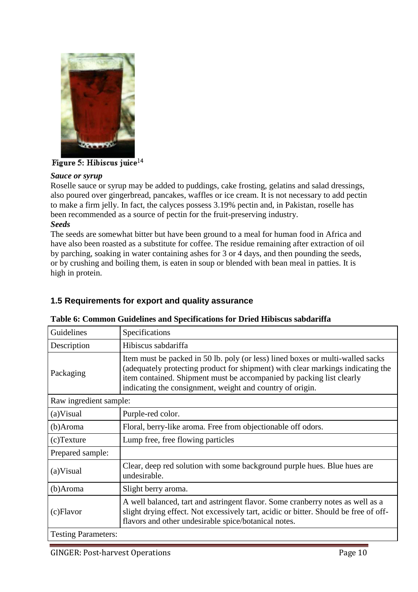

#### Figure 5: Hibiscus juice<sup>14</sup>

#### *Sauce or syrup*

Roselle sauce or syrup may be added to puddings, cake frosting, gelatins and salad dressings, also poured over gingerbread, pancakes, waffles or ice cream. It is not necessary to add pectin to make a firm jelly. In fact, the calyces possess 3.19% pectin and, in Pakistan, roselle has been recommended as a source of pectin for the fruit-preserving industry. *Seeds*

The seeds are somewhat bitter but have been ground to a meal for human food in Africa and have also been roasted as a substitute for coffee. The residue remaining after extraction of oil by parching, soaking in water containing ashes for 3 or 4 days, and then pounding the seeds, or by crushing and boiling them, is eaten in soup or blended with bean meal in patties. It is high in protein.

## <span id="page-10-0"></span>**1.5 Requirements for export and quality assurance**

## **Table 6: Common Guidelines and Specifications for Dried Hibiscus sabdariffa**

| Guidelines                 | Specifications                                                                                                                                                                                                                                                                                         |
|----------------------------|--------------------------------------------------------------------------------------------------------------------------------------------------------------------------------------------------------------------------------------------------------------------------------------------------------|
| Description                | Hibiscus sabdariffa                                                                                                                                                                                                                                                                                    |
| Packaging                  | Item must be packed in 50 lb. poly (or less) lined boxes or multi-walled sacks<br>(adequately protecting product for shipment) with clear markings indicating the<br>item contained. Shipment must be accompanied by packing list clearly<br>indicating the consignment, weight and country of origin. |
| Raw ingredient sample:     |                                                                                                                                                                                                                                                                                                        |
| (a)Visual                  | Purple-red color.                                                                                                                                                                                                                                                                                      |
| (b)Aroma                   | Floral, berry-like aroma. Free from objectionable off odors.                                                                                                                                                                                                                                           |
| $(c)$ Texture              | Lump free, free flowing particles                                                                                                                                                                                                                                                                      |
| Prepared sample:           |                                                                                                                                                                                                                                                                                                        |
| (a)Visual                  | Clear, deep red solution with some background purple hues. Blue hues are<br>undesirable.                                                                                                                                                                                                               |
| (b)Aroma                   | Slight berry aroma.                                                                                                                                                                                                                                                                                    |
| (c)Flavor                  | A well balanced, tart and astringent flavor. Some cranberry notes as well as a<br>slight drying effect. Not excessively tart, acidic or bitter. Should be free of off-<br>flavors and other undesirable spice/botanical notes.                                                                         |
| <b>Testing Parameters:</b> |                                                                                                                                                                                                                                                                                                        |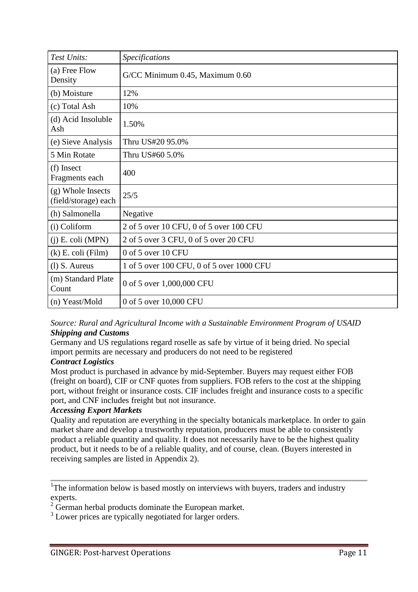| Test Units:                               | Specifications                            |
|-------------------------------------------|-------------------------------------------|
| (a) Free Flow<br>Density                  | G/CC Minimum 0.45, Maximum 0.60           |
| (b) Moisture                              | 12%                                       |
| (c) Total Ash                             | 10%                                       |
| (d) Acid Insoluble<br>Ash                 | 1.50%                                     |
| (e) Sieve Analysis                        | Thru US#20 95.0%                          |
| 5 Min Rotate                              | Thru US#60 5.0%                           |
| (f) Insect<br>Fragments each              | 400                                       |
| (g) Whole Insects<br>(field/storage) each | 25/5                                      |
| (h) Salmonella                            | Negative                                  |
| (i) Coliform                              | 2 of 5 over 10 CFU, 0 of 5 over 100 CFU   |
| $(i)$ E. coli (MPN)                       | 2 of 5 over 3 CFU, 0 of 5 over 20 CFU     |
| $(k)$ E. coli (Film)                      | 0 of 5 over 10 CFU                        |
| $(l)$ S. Aureus                           | 1 of 5 over 100 CFU, 0 of 5 over 1000 CFU |
| (m) Standard Plate<br>Count               | 0 of 5 over 1,000,000 CFU                 |
| (n) Yeast/Mold                            | 0 of 5 over 10,000 CFU                    |

#### *Source: Rural and Agricultural Income with a Sustainable Environment Program of USAID Shipping and Customs*

Germany and US regulations regard roselle as safe by virtue of it being dried. No special import permits are necessary and producers do not need to be registered

## *Contract Logistics*

Most product is purchased in advance by mid-September. Buyers may request either FOB (freight on board), CIF or CNF quotes from suppliers. FOB refers to the cost at the shipping port, without freight or insurance costs. CIF includes freight and insurance costs to a specific port, and CNF includes freight but not insurance.

## *Accessing Export Markets*

Quality and reputation are everything in the specialty botanicals marketplace. In order to gain market share and develop a trustworthy reputation, producers must be able to consistently product a reliable quantity and quality. It does not necessarily have to be the highest quality product, but it needs to be of a reliable quality, and of course, clean. (Buyers interested in receiving samples are listed in Appendix 2).

<sup>1</sup>The information below is based mostly on interviews with buyers, traders and industry experts.

 $2 \text{ German herbal products dominate the European market.}$ 

<sup>3</sup> Lower prices are typically negotiated for larger orders.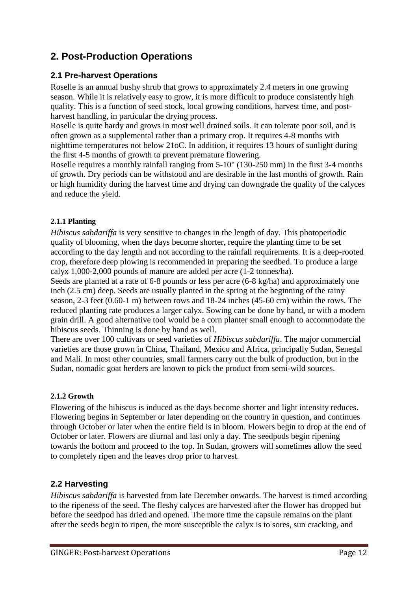# <span id="page-12-0"></span>**2. Post-Production Operations**

## <span id="page-12-1"></span>**2.1 Pre-harvest Operations**

Roselle is an annual bushy shrub that grows to approximately 2.4 meters in one growing season. While it is relatively easy to grow, it is more difficult to produce consistently high quality. This is a function of seed stock, local growing conditions, harvest time, and postharvest handling, in particular the drying process.

Roselle is quite hardy and grows in most well drained soils. It can tolerate poor soil, and is often grown as a supplemental rather than a primary crop. It requires 4-8 months with nighttime temperatures not below 21oC. In addition, it requires 13 hours of sunlight during the first 4-5 months of growth to prevent premature flowering.

Roselle requires a monthly rainfall ranging from 5-10" (130-250 mm) in the first 3-4 months of growth. Dry periods can be withstood and are desirable in the last months of growth. Rain or high humidity during the harvest time and drying can downgrade the quality of the calyces and reduce the yield.

#### <span id="page-12-2"></span>**2.1.1 Planting**

*Hibiscus sabdariffa* is very sensitive to changes in the length of day. This photoperiodic quality of blooming, when the days become shorter, require the planting time to be set according to the day length and not according to the rainfall requirements. It is a deep-rooted crop, therefore deep plowing is recommended in preparing the seedbed. To produce a large calyx 1,000-2,000 pounds of manure are added per acre (1-2 tonnes/ha).

Seeds are planted at a rate of 6-8 pounds or less per acre (6-8 kg/ha) and approximately one inch (2.5 cm) deep. Seeds are usually planted in the spring at the beginning of the rainy season, 2-3 feet (0.60-1 m) between rows and 18-24 inches (45-60 cm) within the rows. The reduced planting rate produces a larger calyx. Sowing can be done by hand, or with a modern grain drill. A good alternative tool would be a corn planter small enough to accommodate the hibiscus seeds. Thinning is done by hand as well.

There are over 100 cultivars or seed varieties of *Hibiscus sabdariffa*. The major commercial varieties are those grown in China, Thailand, Mexico and Africa, principally Sudan, Senegal and Mali. In most other countries, small farmers carry out the bulk of production, but in the Sudan, nomadic goat herders are known to pick the product from semi-wild sources.

#### <span id="page-12-3"></span>**2.1.2 Growth**

Flowering of the hibiscus is induced as the days become shorter and light intensity reduces. Flowering begins in September or later depending on the country in question, and continues through October or later when the entire field is in bloom. Flowers begin to drop at the end of October or later. Flowers are diurnal and last only a day. The seedpods begin ripening towards the bottom and proceed to the top. In Sudan, growers will sometimes allow the seed to completely ripen and the leaves drop prior to harvest.

## <span id="page-12-4"></span>**2.2 Harvesting**

*Hibiscus sabdariffa* is harvested from late December onwards. The harvest is timed according to the ripeness of the seed. The fleshy calyces are harvested after the flower has dropped but before the seedpod has dried and opened. The more time the capsule remains on the plant after the seeds begin to ripen, the more susceptible the calyx is to sores, sun cracking, and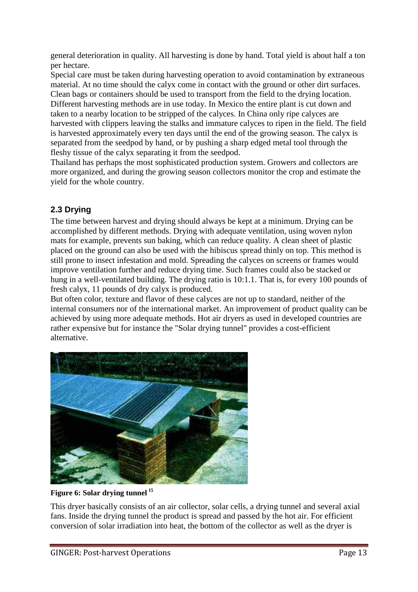general deterioration in quality. All harvesting is done by hand. Total yield is about half a ton per hectare.

Special care must be taken during harvesting operation to avoid contamination by extraneous material. At no time should the calyx come in contact with the ground or other dirt surfaces. Clean bags or containers should be used to transport from the field to the drying location. Different harvesting methods are in use today. In Mexico the entire plant is cut down and taken to a nearby location to be stripped of the calyces. In China only ripe calyces are harvested with clippers leaving the stalks and immature calyces to ripen in the field. The field is harvested approximately every ten days until the end of the growing season. The calyx is separated from the seedpod by hand, or by pushing a sharp edged metal tool through the fleshy tissue of the calyx separating it from the seedpod.

Thailand has perhaps the most sophisticated production system. Growers and collectors are more organized, and during the growing season collectors monitor the crop and estimate the yield for the whole country.

## <span id="page-13-0"></span>**2.3 Drying**

The time between harvest and drying should always be kept at a minimum. Drying can be accomplished by different methods. Drying with adequate ventilation, using woven nylon mats for example, prevents sun baking, which can reduce quality. A clean sheet of plastic placed on the ground can also be used with the hibiscus spread thinly on top. This method is still prone to insect infestation and mold. Spreading the calyces on screens or frames would improve ventilation further and reduce drying time. Such frames could also be stacked or hung in a well-ventilated building. The drying ratio is 10:1.1. That is, for every 100 pounds of fresh calyx, 11 pounds of dry calyx is produced.

But often color, texture and flavor of these calyces are not up to standard, neither of the internal consumers nor of the international market. An improvement of product quality can be achieved by using more adequate methods. Hot air dryers as used in developed countries are rather expensive but for instance the "Solar drying tunnel" provides a cost-efficient alternative.



#### **Figure 6: Solar drying tunnel <sup>15</sup>**

This dryer basically consists of an air collector, solar cells, a drying tunnel and several axial fans. Inside the drying tunnel the product is spread and passed by the hot air. For efficient conversion of solar irradiation into heat, the bottom of the collector as well as the dryer is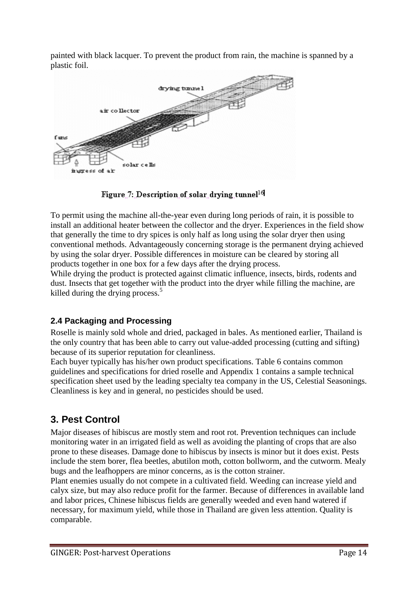painted with black lacquer. To prevent the product from rain, the machine is spanned by a plastic foil.



Figure 7: Description of solar drying tunnel<sup>16</sup>

To permit using the machine all-the-year even during long periods of rain, it is possible to install an additional heater between the collector and the dryer. Experiences in the field show that generally the time to dry spices is only half as long using the solar dryer then using conventional methods. Advantageously concerning storage is the permanent drying achieved by using the solar dryer. Possible differences in moisture can be cleared by storing all products together in one box for a few days after the drying process.

While drying the product is protected against climatic influence, insects, birds, rodents and dust. Insects that get together with the product into the dryer while filling the machine, are killed during the drying process.<sup>5</sup>

## <span id="page-14-0"></span>**2.4 Packaging and Processing**

Roselle is mainly sold whole and dried, packaged in bales. As mentioned earlier, Thailand is the only country that has been able to carry out value-added processing (cutting and sifting) because of its superior reputation for cleanliness.

Each buyer typically has his/her own product specifications. Table 6 contains common guidelines and specifications for dried roselle and Appendix 1 contains a sample technical specification sheet used by the leading specialty tea company in the US, Celestial Seasonings. Cleanliness is key and in general, no pesticides should be used.

# <span id="page-14-1"></span>**3. Pest Control**

Major diseases of hibiscus are mostly stem and root rot. Prevention techniques can include monitoring water in an irrigated field as well as avoiding the planting of crops that are also prone to these diseases. Damage done to hibiscus by insects is minor but it does exist. Pests include the stem borer, flea beetles, abutilon moth, cotton bollworm, and the cutworm. Mealy bugs and the leafhoppers are minor concerns, as is the cotton strainer.

Plant enemies usually do not compete in a cultivated field. Weeding can increase yield and calyx size, but may also reduce profit for the farmer. Because of differences in available land and labor prices, Chinese hibiscus fields are generally weeded and even hand watered if necessary, for maximum yield, while those in Thailand are given less attention. Quality is comparable.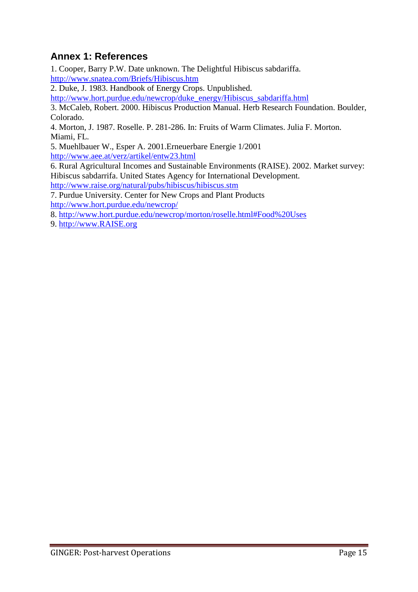# <span id="page-15-0"></span>**Annex 1: References**

1. Cooper, Barry P.W. Date unknown. The Delightful Hibiscus sabdariffa. <http://www.snatea.com/Briefs/Hibiscus.htm>

2. Duke, J. 1983. Handbook of Energy Crops. Unpublished.

[http://www.hort.purdue.edu/newcrop/duke\\_energy/Hibiscus\\_sabdariffa.html](http://www.hort.purdue.edu/newcrop/duke_energy/Hibiscus_sabdariffa.html)

3. McCaleb, Robert. 2000. Hibiscus Production Manual. Herb Research Foundation. Boulder, Colorado.

4. Morton, J. 1987. Roselle. P. 281-286. In: Fruits of Warm Climates. Julia F. Morton. Miami, FL.

5. Muehlbauer W., Esper A. 2001.Erneuerbare Energie 1/2001 <http://www.aee.at/verz/artikel/entw23.html>

6. Rural Agricultural Incomes and Sustainable Environments (RAISE). 2002. Market survey: Hibiscus sabdarrifa. United States Agency for International Development.

<http://www.raise.org/natural/pubs/hibiscus/hibiscus.stm>

7. Purdue University. Center for New Crops and Plant Products

<http://www.hort.purdue.edu/newcrop/>

8.<http://www.hort.purdue.edu/newcrop/morton/roselle.html#Food%20Uses>

<span id="page-15-1"></span>9. [http://www.RAISE.org](http://www.raise.org/)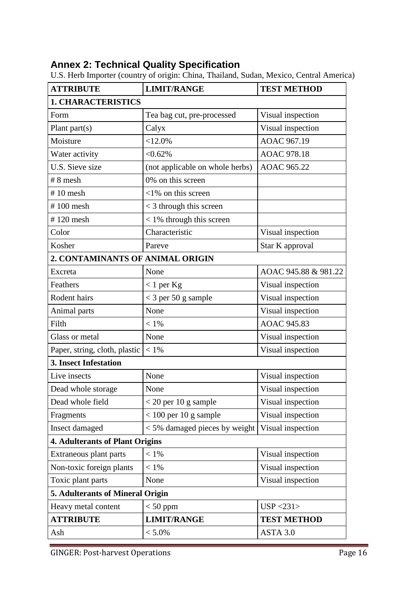# **Annex 2: Technical Quality Specification**

| <b>ATTRIBUTE</b>                       | <b>LIMIT/RANGE</b>              | <b>TEST METHOD</b>   |  |  |  |
|----------------------------------------|---------------------------------|----------------------|--|--|--|
| <b>1. CHARACTERISTICS</b>              |                                 |                      |  |  |  |
| Form                                   | Tea bag cut, pre-processed      | Visual inspection    |  |  |  |
| Plant part $(s)$                       | Calyx                           | Visual inspection    |  |  |  |
| Moisture                               | <12.0%                          | AOAC 967.19          |  |  |  |
| Water activity                         | $< 0.62\%$                      | AOAC 978.18          |  |  |  |
| U.S. Sieve size                        | (not applicable on whole herbs) | AOAC 965.22          |  |  |  |
| $# 8$ mesh                             | 0% on this screen               |                      |  |  |  |
| $#10$ mesh                             | $\langle 1\%$ on this screen    |                      |  |  |  |
| $#100$ mesh                            | $<$ 3 through this screen       |                      |  |  |  |
| $# 120$ mesh                           | $<$ 1% through this screen      |                      |  |  |  |
| Color                                  | Characteristic                  | Visual inspection    |  |  |  |
| Kosher                                 | Pareve                          | Star K approval      |  |  |  |
| 2. CONTAMINANTS OF ANIMAL ORIGIN       |                                 |                      |  |  |  |
| Excreta                                | None                            | AOAC 945.88 & 981.22 |  |  |  |
| Feathers                               | $< 1$ per Kg                    | Visual inspection    |  |  |  |
| Rodent hairs                           | $<$ 3 per 50 g sample           | Visual inspection    |  |  |  |
| Animal parts                           | None                            | Visual inspection    |  |  |  |
| Filth                                  | $< 1\%$                         | <b>AOAC 945.83</b>   |  |  |  |
| Glass or metal                         | None                            | Visual inspection    |  |  |  |
| Paper, string, cloth, plastic          | $< 1\%$                         | Visual inspection    |  |  |  |
| <b>3. Insect Infestation</b>           |                                 |                      |  |  |  |
| Live insects                           | None                            | Visual inspection    |  |  |  |
| Dead whole storage                     | None                            | Visual inspection    |  |  |  |
| Dead whole field                       | $<$ 20 per 10 g sample          | Visual inspection    |  |  |  |
| Fragments                              | $< 100$ per 10 g sample         | Visual inspection    |  |  |  |
| Insect damaged                         | $<$ 5% damaged pieces by weight | Visual inspection    |  |  |  |
| <b>4. Adulterants of Plant Origins</b> |                                 |                      |  |  |  |
| Extraneous plant parts                 | $< 1\%$                         | Visual inspection    |  |  |  |
| Non-toxic foreign plants               | $< 1\%$                         | Visual inspection    |  |  |  |
| Toxic plant parts                      | None                            | Visual inspection    |  |  |  |
| 5. Adulterants of Mineral Origin       |                                 |                      |  |  |  |
| Heavy metal content                    | $< 50$ ppm                      | USP < 231            |  |  |  |
| <b>ATTRIBUTE</b>                       | <b>LIMIT/RANGE</b>              | <b>TEST METHOD</b>   |  |  |  |
| Ash                                    | $< 5.0\%$                       | ASTA 3.0             |  |  |  |

U.S. Herb Importer (country of origin: China, Thailand, Sudan, Mexico, Central America)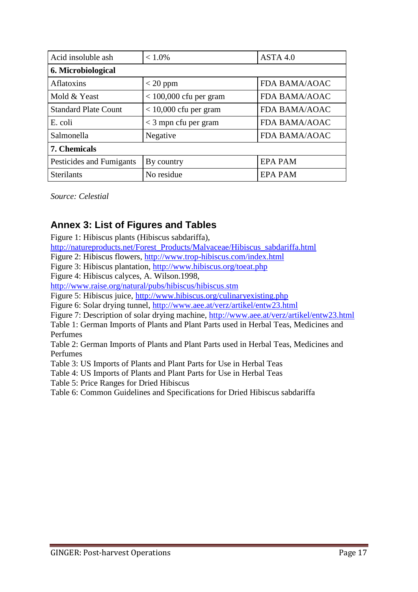| Acid insoluble ash          | $< 1.0\%$                | ASTA 4.0             |  |  |  |
|-----------------------------|--------------------------|----------------------|--|--|--|
| 6. Microbiological          |                          |                      |  |  |  |
| <b>Aflatoxins</b>           | $<$ 20 ppm               | <b>FDA BAMA/AOAC</b> |  |  |  |
| Mold & Yeast                | $<$ 100,000 cfu per gram | <b>FDA BAMA/AOAC</b> |  |  |  |
| <b>Standard Plate Count</b> | $< 10,000$ cfu per gram  | FDA BAMA/AOAC        |  |  |  |
| E. coli                     | $<$ 3 mpn cfu per gram   | FDA BAMA/AOAC        |  |  |  |
| Salmonella                  | Negative                 | FDA BAMA/AOAC        |  |  |  |
| 7. Chemicals                |                          |                      |  |  |  |
| Pesticides and Fumigants    | By country               | <b>EPA PAM</b>       |  |  |  |
| <b>Sterilants</b>           | No residue               | <b>EPA PAM</b>       |  |  |  |

*Source: Celestial* 

# <span id="page-17-0"></span>**Annex 3: List of Figures and Tables**

Figure 1: Hibiscus plants (Hibiscus sabdariffa),

[http://natureproducts.net/Forest\\_Products/Malvaceae/Hibiscus\\_sabdariffa.html](http://natureproducts.net/Forest_Products/Malvaceae/Hibiscus_sabdariffa.html)

Figure 2: Hibiscus flowers,<http://www.trop-hibiscus.com/index.html>

Figure 3: Hibiscus plantation,<http://www.hibiscus.org/toeat.php>

Figure 4: Hibiscus calyces, A. Wilson.1998,

<http://www.raise.org/natural/pubs/hibiscus/hibiscus.stm>

Figure 5: Hibiscus juice,<http://www.hibiscus.org/culinaryexisting.php>

Figure 6: Solar drying tunnel,<http://www.aee.at/verz/artikel/entw23.html>

Figure 7: Description of solar drying machine,<http://www.aee.at/verz/artikel/entw23.html>

Table 1: German Imports of Plants and Plant Parts used in Herbal Teas, Medicines and Perfumes

Table 2: German Imports of Plants and Plant Parts used in Herbal Teas, Medicines and Perfumes

Table 3: US Imports of Plants and Plant Parts for Use in Herbal Teas

Table 4: US Imports of Plants and Plant Parts for Use in Herbal Teas

Table 5: Price Ranges for Dried Hibiscus

<span id="page-17-1"></span>Table 6: Common Guidelines and Specifications for Dried Hibiscus sabdariffa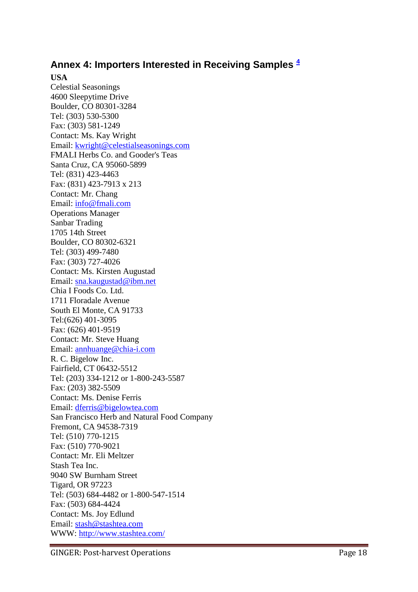## **Annex 4: Importers Interested in Receiving Samples [4](http://www.fao.org/inpho/content/compend/text/ch28/ch28_07.htm#note4)**

#### **USA**

Celestial Seasonings 4600 Sleepytime Drive Boulder, CO 80301-3284 Tel: (303) 530-5300 Fax: (303) 581-1249 Contact: Ms. Kay Wright Email: [kwright@celestialseasonings.com](mailto:kwright@celestialseasonings.com)  FMALI Herbs Co. and Gooder's Teas Santa Cruz, CA 95060-5899 Tel: (831) 423-4463 Fax: (831) 423-7913 x 213 Contact: Mr. Chang Email: [info@fmali.com](mailto:info@fmali.com)  Operations Manager Sanbar Trading 1705 14th Street Boulder, CO 80302-6321 Tel: (303) 499-7480 Fax: (303) 727-4026 Contact: Ms. Kirsten Augustad Email: [sna.kaugustad@ibm.net](mailto:sna.kaugustad@ibm.net)  Chia I Foods Co. Ltd. 1711 Floradale Avenue South El Monte, CA 91733 Tel:(626) 401-3095 Fax: (626) 401-9519 Contact: Mr. Steve Huang Email: [annhuange@chia-i.com](mailto:annhuange@chia-i.com)  R. C. Bigelow Inc. Fairfield, CT 06432-5512 Tel: (203) 334-1212 or 1-800-243-5587 Fax: (203) 382-5509 Contact: Ms. Denise Ferris Email: [dferris@bigelowtea.com](mailto:dferris@bigelowtea.com)  San Francisco Herb and Natural Food Company Fremont, CA 94538-7319 Tel: (510) 770-1215 Fax: (510) 770-9021 Contact: Mr. Eli Meltzer Stash Tea Inc. 9040 SW Burnham Street Tigard, OR 97223 Tel: (503) 684-4482 or 1-800-547-1514 Fax: (503) 684-4424 Contact: Ms. Joy Edlund Email: [stash@stashtea.com](mailto:stash@stashtea.com)  WWW:<http://www.stashtea.com/>